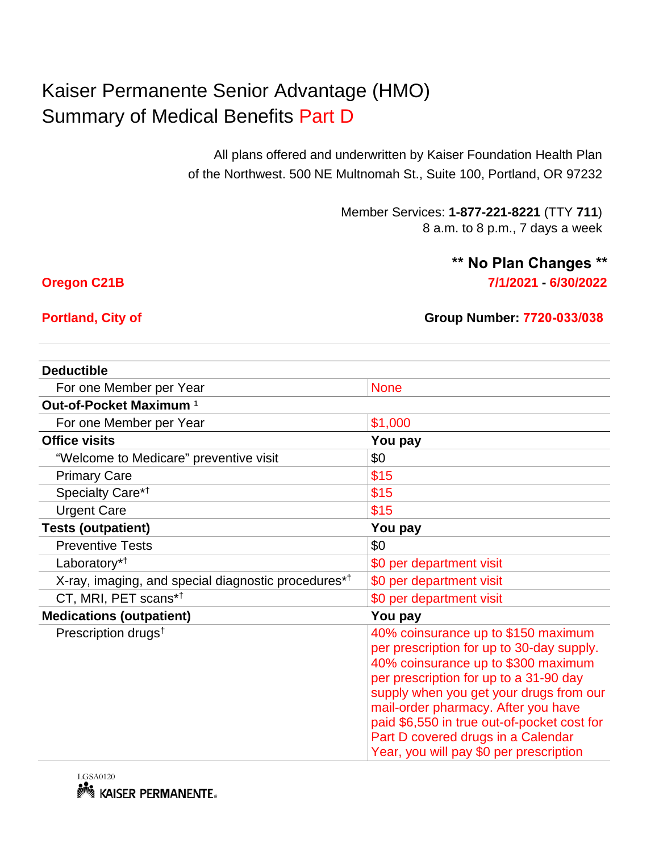## Kaiser Permanente Senior Advantage (HMO) Summary of Medical Benefits Part D

All plans offered and underwritten by Kaiser Foundation Health Plan of the Northwest. 500 NE Multnomah St., Suite 100, Portland, OR 97232

> Member Services: **1-877-221-8221** (TTY **711**) 8 a.m. to 8 p.m., 7 days a week

## **Oregon C21B 7/1/2021 - 6/30/2022 \*\* No Plan Changes \*\***

## **Portland, City of Group Number: 7720-033/038**

| <b>Deductible</b>                                               |                                                                                                                                                                                                                                                                                                                                                                                     |
|-----------------------------------------------------------------|-------------------------------------------------------------------------------------------------------------------------------------------------------------------------------------------------------------------------------------------------------------------------------------------------------------------------------------------------------------------------------------|
| For one Member per Year                                         | <b>None</b>                                                                                                                                                                                                                                                                                                                                                                         |
| Out-of-Pocket Maximum <sup>1</sup>                              |                                                                                                                                                                                                                                                                                                                                                                                     |
| For one Member per Year                                         | \$1,000                                                                                                                                                                                                                                                                                                                                                                             |
| <b>Office visits</b>                                            | You pay                                                                                                                                                                                                                                                                                                                                                                             |
| "Welcome to Medicare" preventive visit                          | \$0                                                                                                                                                                                                                                                                                                                                                                                 |
| <b>Primary Care</b>                                             | \$15                                                                                                                                                                                                                                                                                                                                                                                |
| Specialty Care*1                                                | \$15                                                                                                                                                                                                                                                                                                                                                                                |
| <b>Urgent Care</b>                                              | \$15                                                                                                                                                                                                                                                                                                                                                                                |
| <b>Tests (outpatient)</b>                                       | You pay                                                                                                                                                                                                                                                                                                                                                                             |
| <b>Preventive Tests</b>                                         | \$0                                                                                                                                                                                                                                                                                                                                                                                 |
| Laboratory <sup>*†</sup>                                        | \$0 per department visit                                                                                                                                                                                                                                                                                                                                                            |
| X-ray, imaging, and special diagnostic procedures* <sup>†</sup> | \$0 per department visit                                                                                                                                                                                                                                                                                                                                                            |
| CT, MRI, PET scans*1                                            | \$0 per department visit                                                                                                                                                                                                                                                                                                                                                            |
| <b>Medications (outpatient)</b>                                 | You pay                                                                                                                                                                                                                                                                                                                                                                             |
| Prescription drugs <sup>t</sup>                                 | 40% coinsurance up to \$150 maximum<br>per prescription for up to 30-day supply.<br>40% coinsurance up to \$300 maximum<br>per prescription for up to a 31-90 day<br>supply when you get your drugs from our<br>mail-order pharmacy. After you have<br>paid \$6,550 in true out-of-pocket cost for<br>Part D covered drugs in a Calendar<br>Year, you will pay \$0 per prescription |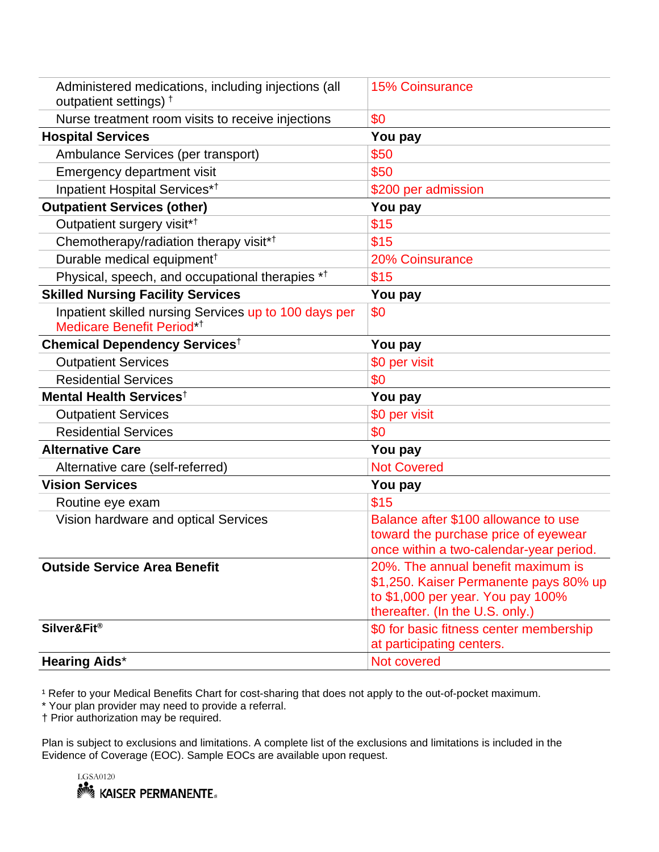| Administered medications, including injections (all<br>outpatient settings) $†$                | <b>15% Coinsurance</b>                                               |
|------------------------------------------------------------------------------------------------|----------------------------------------------------------------------|
| Nurse treatment room visits to receive injections                                              | \$0                                                                  |
| <b>Hospital Services</b>                                                                       | You pay                                                              |
| Ambulance Services (per transport)                                                             | \$50                                                                 |
| Emergency department visit                                                                     | \$50                                                                 |
| Inpatient Hospital Services* <sup>†</sup>                                                      | \$200 per admission                                                  |
| <b>Outpatient Services (other)</b>                                                             | You pay                                                              |
| Outpatient surgery visit* <sup>†</sup>                                                         | \$15                                                                 |
| Chemotherapy/radiation therapy visit* <sup>†</sup>                                             | \$15                                                                 |
| Durable medical equipment <sup>†</sup>                                                         | 20% Coinsurance                                                      |
| Physical, speech, and occupational therapies * <sup>†</sup>                                    | \$15                                                                 |
| <b>Skilled Nursing Facility Services</b>                                                       | You pay                                                              |
| Inpatient skilled nursing Services up to 100 days per<br>Medicare Benefit Period* <sup>†</sup> | \$0                                                                  |
| Chemical Dependency Services <sup>†</sup>                                                      | You pay                                                              |
| <b>Outpatient Services</b>                                                                     | \$0 per visit                                                        |
| <b>Residential Services</b>                                                                    | \$0                                                                  |
| Mental Health Services <sup>†</sup>                                                            | You pay                                                              |
| <b>Outpatient Services</b>                                                                     | \$0 per visit                                                        |
| <b>Residential Services</b>                                                                    | \$0                                                                  |
| <b>Alternative Care</b>                                                                        | You pay                                                              |
| Alternative care (self-referred)                                                               | <b>Not Covered</b>                                                   |
| <b>Vision Services</b>                                                                         | You pay                                                              |
| Routine eye exam                                                                               | \$15                                                                 |
| Vision hardware and optical Services                                                           | Balance after \$100 allowance to use                                 |
|                                                                                                | toward the purchase price of eyewear                                 |
|                                                                                                | once within a two-calendar-year period.                              |
| <b>Outside Service Area Benefit</b>                                                            | 20%. The annual benefit maximum is                                   |
|                                                                                                | \$1,250. Kaiser Permanente pays 80% up                               |
|                                                                                                | to \$1,000 per year. You pay 100%<br>thereafter. (In the U.S. only.) |
| Silver&Fit®                                                                                    | \$0 for basic fitness center membership                              |
|                                                                                                | at participating centers.                                            |
| <b>Hearing Aids*</b>                                                                           | Not covered                                                          |
|                                                                                                |                                                                      |

<sup>1</sup> Refer to your Medical Benefits Chart for cost-sharing that does not apply to the out-of-pocket maximum.

\* Your plan provider may need to provide a referral.

† Prior authorization may be required.

Plan is subject to exclusions and limitations. A complete list of the exclusions and limitations is included in the Evidence of Coverage (EOC). Sample EOCs are available upon request.